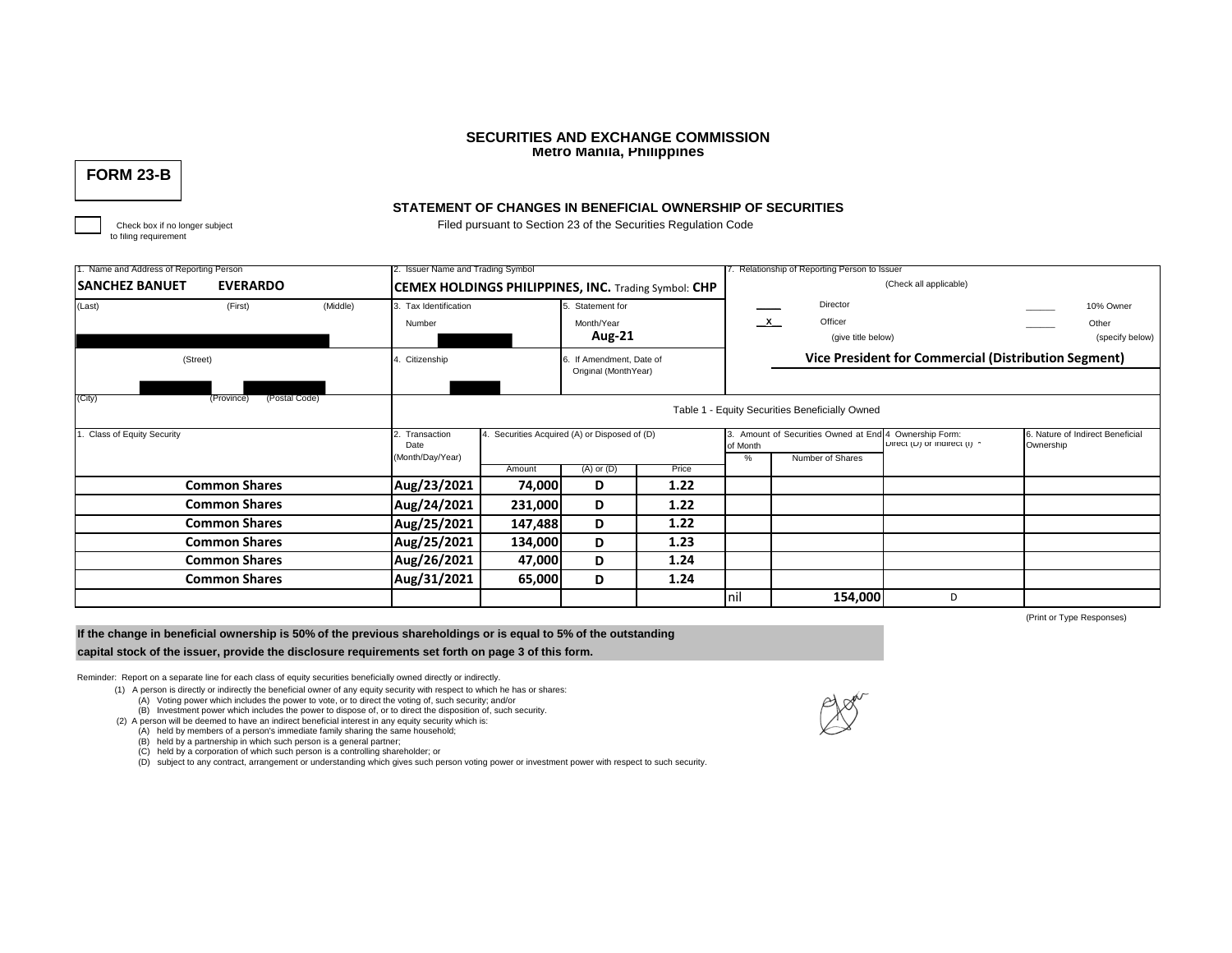## **SECURITIES AND EXCHANGE COMMISSION Metro Manila, Philippines**

# **FORM 23-B**

to filing requirement

## **STATEMENT OF CHANGES IN BENEFICIAL OWNERSHIP OF SECURITIES**

Check box if no longer subject Filed pursuant to Section 23 of the Securities Regulation Code

| 1. Name and Address of Reporting Person  |                             |                                 | 2. Issuer Name and Trading Symbol                           |                             |                       |          |                                                      | 7. Relationship of Reporting Person to Issuer   |   |                                               |                 |  |  |
|------------------------------------------|-----------------------------|---------------------------------|-------------------------------------------------------------|-----------------------------|-----------------------|----------|------------------------------------------------------|-------------------------------------------------|---|-----------------------------------------------|-----------------|--|--|
| <b>EVERARDO</b><br><b>SANCHEZ BANUET</b> |                             |                                 | <b>CEMEX HOLDINGS PHILIPPINES, INC. Trading Symbol: CHP</b> |                             |                       |          |                                                      | (Check all applicable)                          |   |                                               |                 |  |  |
| (Middle)<br>(First)<br>(Last)            |                             | 3. Tax Identification<br>Number |                                                             | Statement for<br>Month/Year |                       |          | Director<br>$\mathbf{x}$<br>Officer                  |                                                 |   | 10% Owner<br>Other                            |                 |  |  |
|                                          |                             |                                 |                                                             |                             |                       | Aug-21   |                                                      | (give title below)                              |   |                                               | (specify below) |  |  |
| (Street)                                 |                             |                                 | Citizenship                                                 |                             | If Amendment, Date of |          | Vice President for Commercial (Distribution Segment) |                                                 |   |                                               |                 |  |  |
|                                          |                             |                                 |                                                             |                             | Original (MonthYear)  |          |                                                      |                                                 |   |                                               |                 |  |  |
| (City)                                   | (Postal Code)<br>(Province) |                                 |                                                             |                             |                       |          |                                                      | Table 1 - Equity Securities Beneficially Owned  |   |                                               |                 |  |  |
| <b>Class of Equity Security</b>          |                             | Transaction<br>Date             | 4. Securities Acquired (A) or Disposed of (D)               |                             |                       | of Month | 3. Amount of Securities Owned at End 4               | Ownership Form:<br>Direct (D) or indirect (I) ^ |   | 6. Nature of Indirect Beneficial<br>Ownership |                 |  |  |
|                                          |                             | (Month/Day/Year)                |                                                             |                             |                       | %        | Number of Shares                                     |                                                 |   |                                               |                 |  |  |
|                                          |                             |                                 |                                                             | Amount                      | $(A)$ or $(D)$        | Price    |                                                      |                                                 |   |                                               |                 |  |  |
| <b>Common Shares</b>                     |                             | Aug/23/2021                     | 74,000                                                      | D                           | 1.22                  |          |                                                      |                                                 |   |                                               |                 |  |  |
| <b>Common Shares</b>                     |                             | Aug/24/2021                     | 231,000                                                     | D                           | 1.22                  |          |                                                      |                                                 |   |                                               |                 |  |  |
| <b>Common Shares</b>                     |                             |                                 | Aug/25/2021                                                 | 147,488                     | D                     | 1.22     |                                                      |                                                 |   |                                               |                 |  |  |
| <b>Common Shares</b>                     |                             |                                 | Aug/25/2021                                                 | 134,000                     | D                     | 1.23     |                                                      |                                                 |   |                                               |                 |  |  |
| <b>Common Shares</b>                     |                             |                                 | Aug/26/2021                                                 | 47,000                      | D                     | 1.24     |                                                      |                                                 |   |                                               |                 |  |  |
| <b>Common Shares</b>                     |                             |                                 | Aug/31/2021                                                 | 65,000                      | D                     | 1.24     |                                                      |                                                 |   |                                               |                 |  |  |
|                                          |                             |                                 |                                                             |                             |                       |          | nil                                                  | 154,000                                         | D |                                               |                 |  |  |

**If the change in beneficial ownership is 50% of the previous shareholdings or is equal to 5% of the outstanding** 

**capital stock of the issuer, provide the disclosure requirements set forth on page 3 of this form.**

Reminder: Report on a separate line for each class of equity securities beneficially owned directly or indirectly.

(1) A person is directly or indirectly the beneficial owner of any equity security with respect to which he has or shares:

(A) Voting power which includes the power to vote, or to direct the voting of, such security; and/or

(B) Investment power which includes the power to dispose of, or to direct the disposition of, such security.

- (2) A person will be deemed to have an indirect beneficial interest in any equity security which is:
	- (A) held by members of a person's immediate family sharing the same household;

(B) held by a partnership in which such person is a general partner;

(C) held by a corporation of which such person is a controlling shareholder; or<br>(D) subject to any contract, arrangement or understanding which gives such person voting power or investment power with respect to such securi



(Print or Type Responses)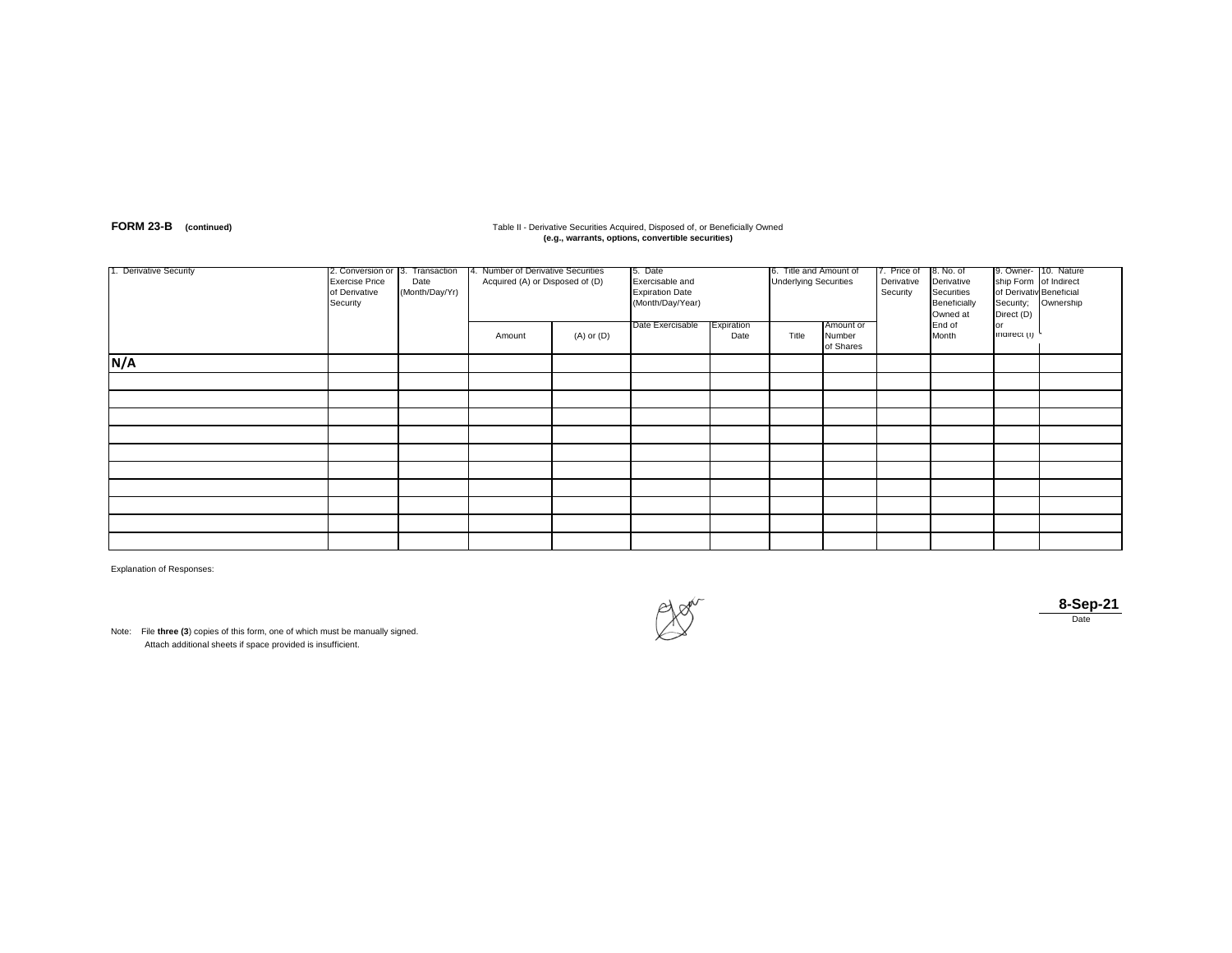# **FORM 23-B** (continued) **Table II - Derivative Securities Acquired, Disposed of, or Beneficially Owned<br>
<b>(e.g., warrants, options, convertible securities)** (e.g., warrants, options, convertible securities)

| 1. Derivative Security | 2. Conversion or 3. Transaction<br><b>Exercise Price</b><br>of Derivative<br>Security | Date<br>(Month/Day/Yr) | 4. Number of Derivative Securities<br>Acquired (A) or Disposed of (D) |                | 5. Date<br>Exercisable and<br><b>Expiration Date</b><br>(Month/Day/Year)<br>Date Exercisable<br>Expiration |      | 6. litle and Amount of<br><b>Underlying Securities</b><br>Amount or |                     | 7. Price of<br>Derivative<br>Security | 8. No. of<br>Derivative<br>Securities<br>Beneficially<br>Owned at<br>End of | ship Form of Indirect<br>of Derivativ Beneficial<br>Security;<br>Direct (D)<br>or | 9. Owner- 10. Nature<br>Ownership |
|------------------------|---------------------------------------------------------------------------------------|------------------------|-----------------------------------------------------------------------|----------------|------------------------------------------------------------------------------------------------------------|------|---------------------------------------------------------------------|---------------------|---------------------------------------|-----------------------------------------------------------------------------|-----------------------------------------------------------------------------------|-----------------------------------|
|                        |                                                                                       |                        | Amount                                                                | $(A)$ or $(D)$ |                                                                                                            | Date | Title                                                               | Number<br>of Shares |                                       | Month                                                                       | inairect (i)                                                                      |                                   |
| N/A                    |                                                                                       |                        |                                                                       |                |                                                                                                            |      |                                                                     |                     |                                       |                                                                             |                                                                                   |                                   |
|                        |                                                                                       |                        |                                                                       |                |                                                                                                            |      |                                                                     |                     |                                       |                                                                             |                                                                                   |                                   |
|                        |                                                                                       |                        |                                                                       |                |                                                                                                            |      |                                                                     |                     |                                       |                                                                             |                                                                                   |                                   |
|                        |                                                                                       |                        |                                                                       |                |                                                                                                            |      |                                                                     |                     |                                       |                                                                             |                                                                                   |                                   |
|                        |                                                                                       |                        |                                                                       |                |                                                                                                            |      |                                                                     |                     |                                       |                                                                             |                                                                                   |                                   |
|                        |                                                                                       |                        |                                                                       |                |                                                                                                            |      |                                                                     |                     |                                       |                                                                             |                                                                                   |                                   |
|                        |                                                                                       |                        |                                                                       |                |                                                                                                            |      |                                                                     |                     |                                       |                                                                             |                                                                                   |                                   |
|                        |                                                                                       |                        |                                                                       |                |                                                                                                            |      |                                                                     |                     |                                       |                                                                             |                                                                                   |                                   |
|                        |                                                                                       |                        |                                                                       |                |                                                                                                            |      |                                                                     |                     |                                       |                                                                             |                                                                                   |                                   |
|                        |                                                                                       |                        |                                                                       |                |                                                                                                            |      |                                                                     |                     |                                       |                                                                             |                                                                                   |                                   |
|                        |                                                                                       |                        |                                                                       |                |                                                                                                            |      |                                                                     |                     |                                       |                                                                             |                                                                                   |                                   |

Explanation of Responses:

Note: File **three (3**) copies of this form, one of which must be manually signed. Attach additional sheets if space provided is insufficient.



**8-Sep-21** Date